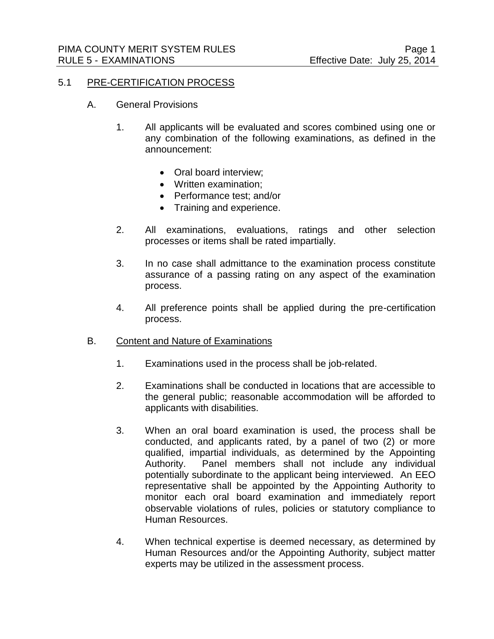#### 5.1 PRE-CERTIFICATION PROCESS

- A. General Provisions
	- 1. All applicants will be evaluated and scores combined using one or any combination of the following examinations, as defined in the announcement:
		- Oral board interview:
		- Written examination:
		- Performance test: and/or
		- Training and experience.
	- 2. All examinations, evaluations, ratings and other selection processes or items shall be rated impartially.
	- 3. In no case shall admittance to the examination process constitute assurance of a passing rating on any aspect of the examination process.
	- 4. All preference points shall be applied during the pre-certification process.

# B. Content and Nature of Examinations

- 1. Examinations used in the process shall be job-related.
- 2. Examinations shall be conducted in locations that are accessible to the general public; reasonable accommodation will be afforded to applicants with disabilities.
- 3. When an oral board examination is used, the process shall be conducted, and applicants rated, by a panel of two (2) or more qualified, impartial individuals, as determined by the Appointing Authority. Panel members shall not include any individual potentially subordinate to the applicant being interviewed. An EEO representative shall be appointed by the Appointing Authority to monitor each oral board examination and immediately report observable violations of rules, policies or statutory compliance to Human Resources.
- 4. When technical expertise is deemed necessary, as determined by Human Resources and/or the Appointing Authority, subject matter experts may be utilized in the assessment process.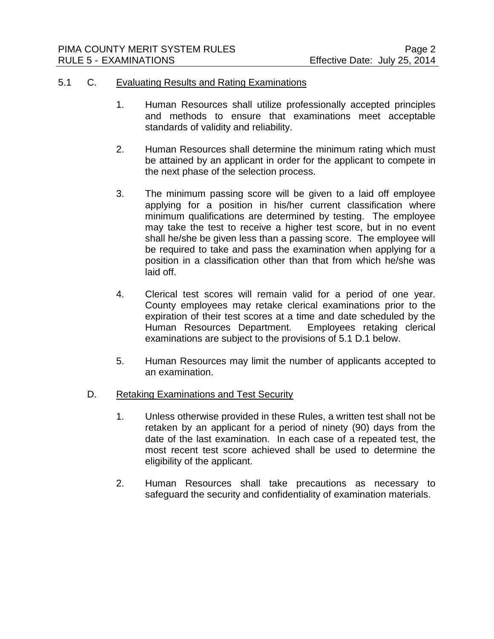## 5.1 C. Evaluating Results and Rating Examinations

- 1. Human Resources shall utilize professionally accepted principles and methods to ensure that examinations meet acceptable standards of validity and reliability.
- 2. Human Resources shall determine the minimum rating which must be attained by an applicant in order for the applicant to compete in the next phase of the selection process.
- 3. The minimum passing score will be given to a laid off employee applying for a position in his/her current classification where minimum qualifications are determined by testing. The employee may take the test to receive a higher test score, but in no event shall he/she be given less than a passing score. The employee will be required to take and pass the examination when applying for a position in a classification other than that from which he/she was laid off.
- 4. Clerical test scores will remain valid for a period of one year. County employees may retake clerical examinations prior to the expiration of their test scores at a time and date scheduled by the Human Resources Department. Employees retaking clerical examinations are subject to the provisions of 5.1 D.1 below.
- 5. Human Resources may limit the number of applicants accepted to an examination.

# D. Retaking Examinations and Test Security

- 1. Unless otherwise provided in these Rules, a written test shall not be retaken by an applicant for a period of ninety (90) days from the date of the last examination. In each case of a repeated test, the most recent test score achieved shall be used to determine the eligibility of the applicant.
- 2. Human Resources shall take precautions as necessary to safeguard the security and confidentiality of examination materials.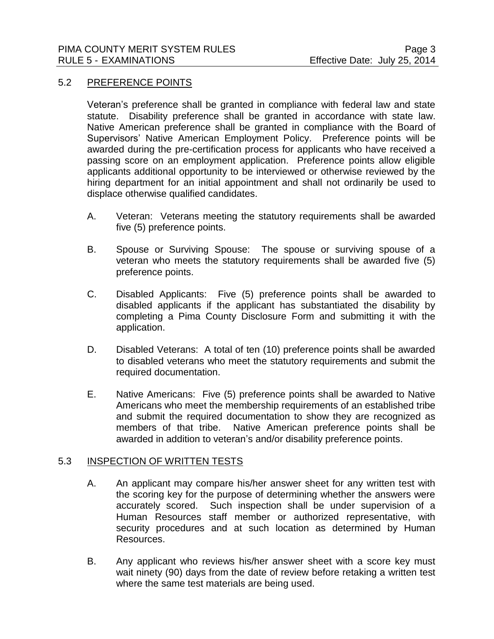## 5.2 PREFERENCE POINTS

Veteran's preference shall be granted in compliance with federal law and state statute. Disability preference shall be granted in accordance with state law. Native American preference shall be granted in compliance with the Board of Supervisors' Native American Employment Policy. Preference points will be awarded during the pre-certification process for applicants who have received a passing score on an employment application. Preference points allow eligible applicants additional opportunity to be interviewed or otherwise reviewed by the hiring department for an initial appointment and shall not ordinarily be used to displace otherwise qualified candidates.

- A. Veteran: Veterans meeting the statutory requirements shall be awarded five (5) preference points.
- B. Spouse or Surviving Spouse: The spouse or surviving spouse of a veteran who meets the statutory requirements shall be awarded five (5) preference points.
- C. Disabled Applicants: Five (5) preference points shall be awarded to disabled applicants if the applicant has substantiated the disability by completing a Pima County Disclosure Form and submitting it with the application.
- D. Disabled Veterans: A total of ten (10) preference points shall be awarded to disabled veterans who meet the statutory requirements and submit the required documentation.
- E. Native Americans: Five (5) preference points shall be awarded to Native Americans who meet the membership requirements of an established tribe and submit the required documentation to show they are recognized as members of that tribe. Native American preference points shall be awarded in addition to veteran's and/or disability preference points.

#### 5.3 INSPECTION OF WRITTEN TESTS

- A. An applicant may compare his/her answer sheet for any written test with the scoring key for the purpose of determining whether the answers were accurately scored. Such inspection shall be under supervision of a Human Resources staff member or authorized representative, with security procedures and at such location as determined by Human Resources.
- B. Any applicant who reviews his/her answer sheet with a score key must wait ninety (90) days from the date of review before retaking a written test where the same test materials are being used.